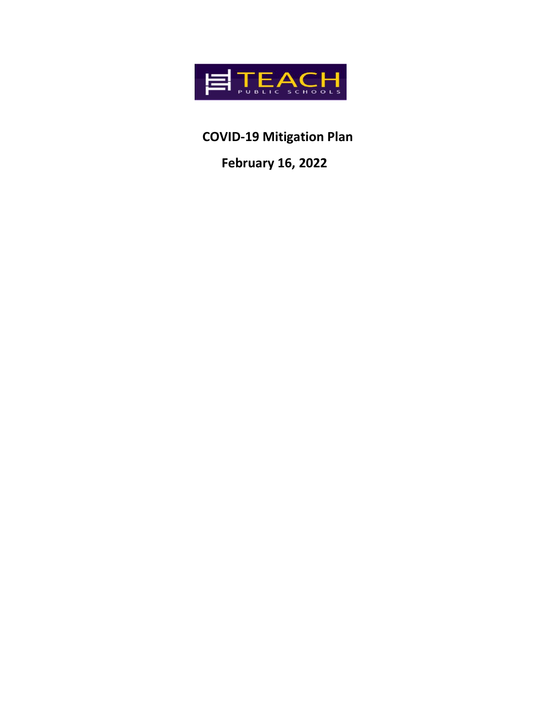

**COVID-19 Mitigation Plan**

 **February 16, 2022**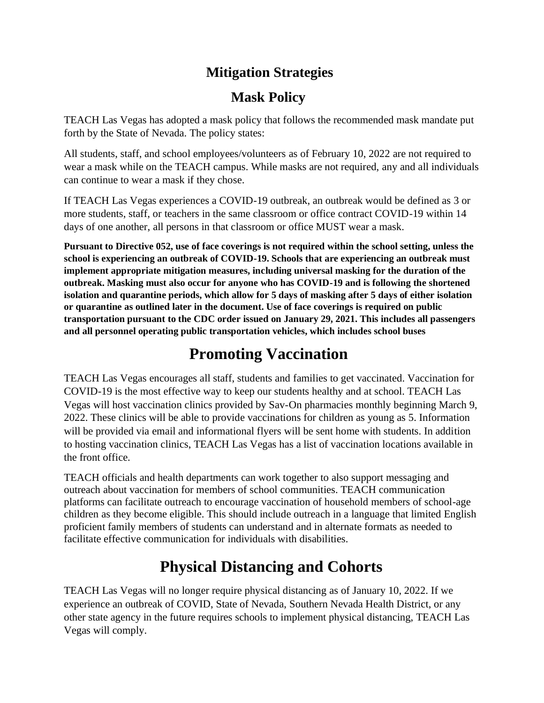#### **Mitigation Strategies**

#### **Mask Policy**

TEACH Las Vegas has adopted a mask policy that follows the recommended mask mandate put forth by the State of Nevada. The policy states:

All students, staff, and school employees/volunteers as of February 10, 2022 are not required to wear a mask while on the TEACH campus. While masks are not required, any and all individuals can continue to wear a mask if they chose.

If TEACH Las Vegas experiences a COVID-19 outbreak, an outbreak would be defined as 3 or more students, staff, or teachers in the same classroom or office contract COVID-19 within 14 days of one another, all persons in that classroom or office MUST wear a mask.

**Pursuant to Directive 052, use of face coverings is not required within the school setting, unless the school is experiencing an outbreak of COVID-19. Schools that are experiencing an outbreak must implement appropriate mitigation measures, including universal masking for the duration of the outbreak. Masking must also occur for anyone who has COVID-19 and is following the shortened isolation and quarantine periods, which allow for 5 days of masking after 5 days of either isolation or quarantine as outlined later in the document. Use of face coverings is required on public transportation pursuant to the CDC order issued on January 29, 2021. This includes all passengers and all personnel operating public transportation vehicles, which includes school buses**

## **Promoting Vaccination**

TEACH Las Vegas encourages all staff, students and families to get vaccinated. Vaccination for COVID-19 is the most effective way to keep our students healthy and at school. TEACH Las Vegas will host vaccination clinics provided by Sav-On pharmacies monthly beginning March 9, 2022. These clinics will be able to provide vaccinations for children as young as 5. Information will be provided via email and informational flyers will be sent home with students. In addition to hosting vaccination clinics, TEACH Las Vegas has a list of vaccination locations available in the front office.

TEACH officials and health departments can work together to also support messaging and outreach about vaccination for members of school communities. TEACH communication platforms can facilitate outreach to encourage vaccination of household members of school-age children as they become eligible. This should include outreach in a language that limited English proficient family members of students can understand and in alternate formats as needed to facilitate effective communication for individuals with disabilities.

## **Physical Distancing and Cohorts**

TEACH Las Vegas will no longer require physical distancing as of January 10, 2022. If we experience an outbreak of COVID, State of Nevada, Southern Nevada Health District, or any other state agency in the future requires schools to implement physical distancing, TEACH Las Vegas will comply.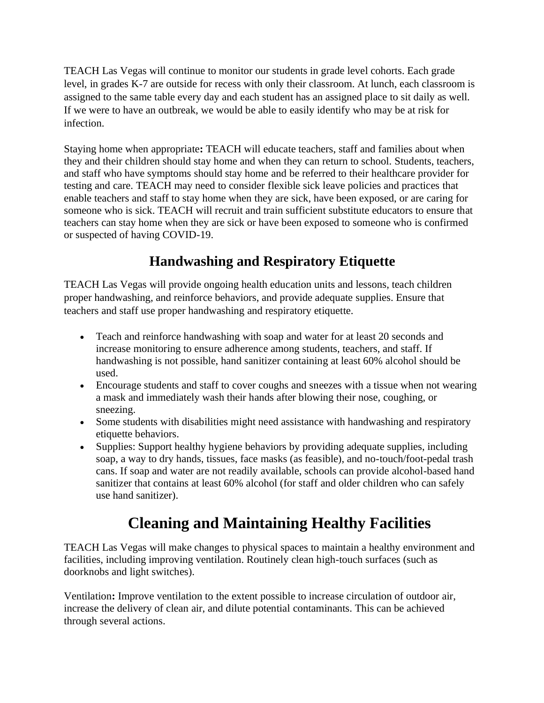TEACH Las Vegas will continue to monitor our students in grade level cohorts. Each grade level, in grades K-7 are outside for recess with only their classroom. At lunch, each classroom is assigned to the same table every day and each student has an assigned place to sit daily as well. If we were to have an outbreak, we would be able to easily identify who may be at risk for infection.

Staying home when appropriate**:** TEACH will educate teachers, staff and families about when they and their children should stay home and when they can return to school. Students, teachers, and staff who have symptoms should stay home and be referred to their healthcare provider for testing and care. TEACH may need to consider flexible sick leave policies and practices that enable teachers and staff to stay home when they are sick, have been exposed, or are caring for someone who is sick. TEACH will recruit and train sufficient substitute educators to ensure that teachers can stay home when they are sick or have been exposed to someone who is confirmed or suspected of having COVID-19.

#### **Handwashing and Respiratory Etiquette**

TEACH Las Vegas will provide ongoing health education units and lessons, teach children proper handwashing, and reinforce behaviors, and provide adequate supplies. Ensure that teachers and staff use proper handwashing and respiratory etiquette.

- Teach and reinforce handwashing with soap and water for at least 20 seconds and increase monitoring to ensure adherence among students, teachers, and staff. If handwashing is not possible, hand sanitizer containing at least 60% alcohol should be used.
- Encourage students and staff to cover coughs and sneezes with a tissue when not wearing a mask and immediately wash their hands after blowing their nose, coughing, or sneezing.
- Some students with disabilities might need assistance with handwashing and respiratory etiquette behaviors.
- Supplies: Support healthy hygiene behaviors by providing adequate supplies, including soap, a way to dry hands, tissues, face masks (as feasible), and no-touch/foot-pedal trash cans. If soap and water are not readily available, schools can provide alcohol-based hand sanitizer that contains at least 60% alcohol (for staff and older children who can safely use hand sanitizer).

# **Cleaning and Maintaining Healthy Facilities**

TEACH Las Vegas will make changes to physical spaces to maintain a healthy environment and facilities, including improving ventilation. Routinely clean high-touch surfaces (such as doorknobs and light switches).

Ventilation**:** Improve ventilation to the extent possible to increase circulation of outdoor air, increase the delivery of clean air, and dilute potential contaminants. This can be achieved through several actions.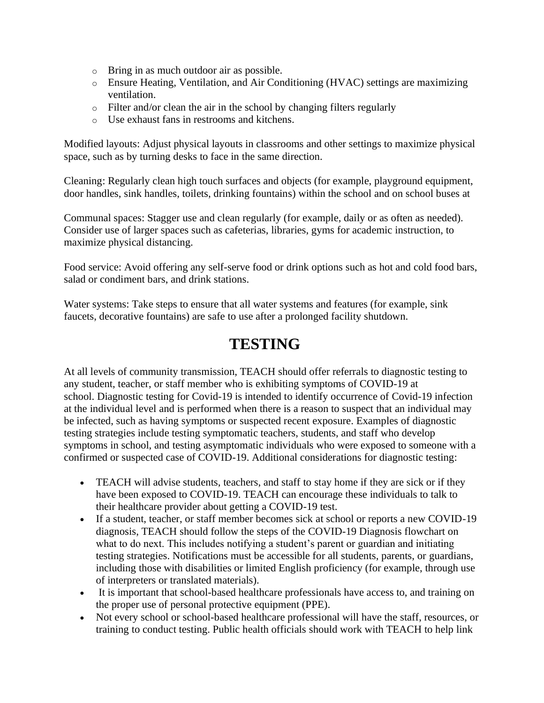- o Bring in as much outdoor air as possible.
- o Ensure Heating, Ventilation, and Air Conditioning (HVAC) settings are maximizing ventilation.
- o Filter and/or clean the air in the school by changing filters regularly
- o Use exhaust fans in restrooms and kitchens.

Modified layouts: Adjust physical layouts in classrooms and other settings to maximize physical space, such as by turning desks to face in the same direction.

Cleaning: Regularly clean high touch surfaces and objects (for example, playground equipment, door handles, sink handles, toilets, drinking fountains) within the school and on school buses at

Communal spaces: Stagger use and clean regularly (for example, daily or as often as needed). Consider use of larger spaces such as cafeterias, libraries, gyms for academic instruction, to maximize physical distancing.

Food service: Avoid offering any self-serve food or drink options such as hot and cold food bars, salad or condiment bars, and drink stations.

Water systems: Take steps to ensure that all water systems and features (for example, sink faucets, decorative fountains) are safe to use after a prolonged facility shutdown.

#### **TESTING**

At all levels of community transmission, TEACH should offer referrals to diagnostic testing to any student, teacher, or staff member who is exhibiting symptoms of COVID-19 at school. Diagnostic testing for Covid-19 is intended to identify occurrence of Covid-19 infection at the individual level and is performed when there is a reason to suspect that an individual may be infected, such as having symptoms or suspected recent exposure. Examples of diagnostic testing strategies include testing symptomatic teachers, students, and staff who develop symptoms in school, and testing asymptomatic individuals who were exposed to someone with a confirmed or suspected case of COVID-19. Additional considerations for diagnostic testing:

- TEACH will advise students, teachers, and staff to stay home if they are sick or if they have been exposed to COVID-19. TEACH can encourage these individuals to talk to their healthcare provider about getting a COVID-19 test.
- If a student, teacher, or staff member becomes sick at school or reports a new COVID-19 diagnosis, TEACH should follow the steps of the COVID-19 Diagnosis flowchart on what to do next. This includes notifying a student's parent or guardian and initiating testing strategies. Notifications must be accessible for all students, parents, or guardians, including those with disabilities or limited English proficiency (for example, through use of interpreters or translated materials).
- It is important that school-based healthcare professionals have access to, and training on the proper use of personal protective equipment (PPE).
- Not every school or school-based healthcare professional will have the staff, resources, or training to conduct testing. Public health officials should work with TEACH to help link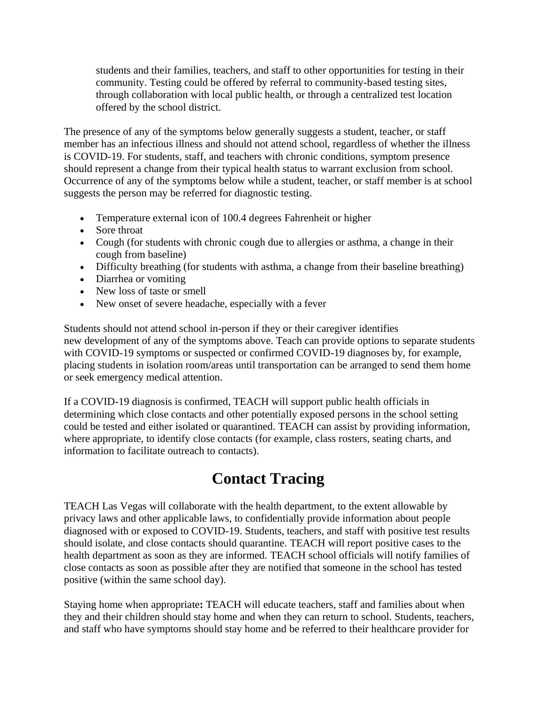students and their families, teachers, and staff to other opportunities for testing in their community. Testing could be offered by referral to community-based testing sites, through collaboration with local public health, or through a centralized test location offered by the school district.

The presence of any of the symptoms below generally suggests a student, teacher, or staff member has an infectious illness and should not attend school, regardless of whether the illness is COVID-19. For students, staff, and teachers with chronic conditions, symptom presence should represent a change from their typical health status to warrant exclusion from school. Occurrence of any of the symptoms below while a student, teacher, or staff member is at school suggests the person may be referred for diagnostic testing.

- Temperature external icon of 100.4 degrees Fahrenheit or higher
- Sore throat
- Cough (for students with chronic cough due to allergies or asthma, a change in their cough from baseline)
- Difficulty breathing (for students with asthma, a change from their baseline breathing)
- Diarrhea or vomiting
- New loss of taste or smell
- New onset of severe headache, especially with a fever

Students should not attend school in-person if they or their caregiver identifies new development of any of the symptoms above. Teach can provide options to separate students with COVID-19 symptoms or suspected or confirmed COVID-19 diagnoses by, for example, placing students in isolation room/areas until transportation can be arranged to send them home or seek emergency medical attention.

If a COVID-19 diagnosis is confirmed, TEACH will support public health officials in determining which close contacts and other potentially exposed persons in the school setting could be tested and either isolated or quarantined. TEACH can assist by providing information, where appropriate, to identify close contacts (for example, class rosters, seating charts, and information to facilitate outreach to contacts).

## **Contact Tracing**

TEACH Las Vegas will collaborate with the health department, to the extent allowable by privacy laws and other applicable laws, to confidentially provide information about people diagnosed with or exposed to COVID-19. Students, teachers, and staff with positive test results should isolate, and close contacts should quarantine. TEACH will report positive cases to the health department as soon as they are informed. TEACH school officials will notify families of close contacts as soon as possible after they are notified that someone in the school has tested positive (within the same school day).

Staying home when appropriate**:** TEACH will educate teachers, staff and families about when they and their children should stay home and when they can return to school. Students, teachers, and staff who have symptoms should stay home and be referred to their healthcare provider for